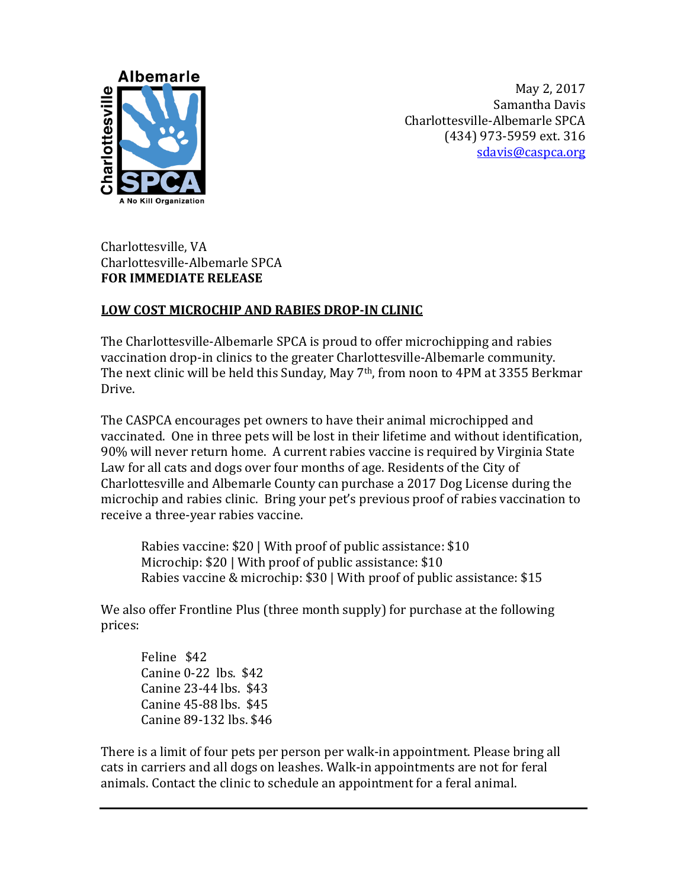

May 2, 2017 Samantha Davis Charlottesville-Albemarle SPCA (434) 973-5959 ext. 316 [sdavis@caspca.org](mailto:sdavis@caspca.org)

Charlottesville, VA Charlottesville-Albemarle SPCA **FOR IMMEDIATE RELEASE** 

## **LOW COST MICROCHIP AND RABIES DROP-IN CLINIC**

The Charlottesville-Albemarle SPCA is proud to offer microchipping and rabies vaccination drop-in clinics to the greater Charlottesville-Albemarle community. The next clinic will be held this Sunday, May 7<sup>th</sup>, from noon to 4PM at 3355 Berkmar Drive.

The CASPCA encourages pet owners to have their animal microchipped and vaccinated. One in three pets will be lost in their lifetime and without identification, 90% will never return home. A current rabies vaccine is required by Virginia State Law for all cats and dogs over four months of age. Residents of the City of Charlottesville and Albemarle County can purchase a 2017 Dog License during the microchip and rabies clinic. Bring your pet's previous proof of rabies vaccination to receive a three-year rabies vaccine.

Rabies vaccine: \$20 | With proof of public assistance: \$10 Microchip: \$20 | With proof of public assistance: \$10 Rabies vaccine & microchip: \$30 | With proof of public assistance: \$15

We also offer Frontline Plus (three month supply) for purchase at the following prices:

Feline \$42 Canine 0-22 lbs. \$42 Canine 23-44 lbs. \$43 Canine 45-88 lbs. \$45 Canine 89-132 lbs. \$46

There is a limit of four pets per person per walk-in appointment. Please bring all cats in carriers and all dogs on leashes. Walk-in appointments are not for feral animals. Contact the clinic to schedule an appointment for a feral animal.